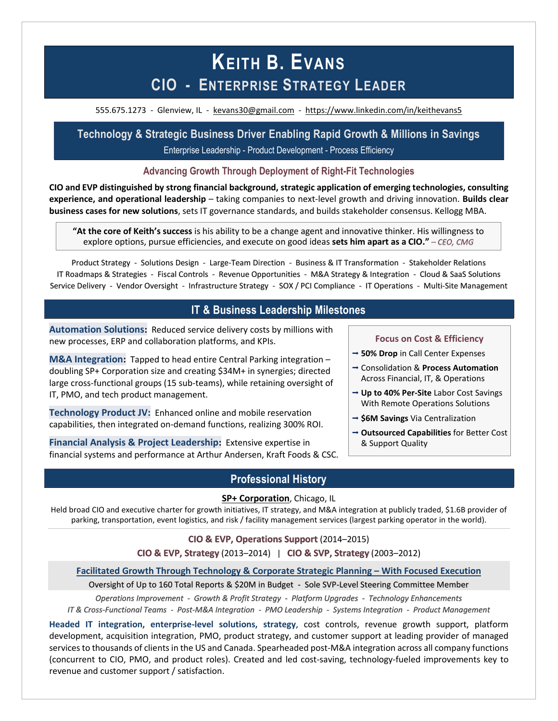# **KEITH B. EVANS CIO - ENTERPRISE STRATEGY LEADER**

555.675.1273 - Glenview, IL - [kevans30@gmail.com](mailto:kevans30@gmail.com) - <https://www.linkedin.com/in/keithevans5>

**Technology & Strategic Business Driver Enabling Rapid Growth & Millions in Savings** Enterprise Leadership - Product Development - Process Efficiency

#### **Advancing Growth Through Deployment of Right-Fit Technologies**

**CIO and EVP distinguished by strong financial background, strategic application of emerging technologies, consulting experience, and operational leadership** – taking companies to next-level growth and driving innovation. **Builds clear business cases for new solutions**, sets IT governance standards, and builds stakeholder consensus. Kellogg MBA.

**"At the core of Keith's success** is his ability to be a change agent and innovative thinker. His willingness to explore options, pursue efficiencies, and execute on good ideas **sets him apart as a CIO."** *– CEO, CMG*

Product Strategy - Solutions Design - Large-Team Direction - Business & IT Transformation - Stakeholder Relations IT Roadmaps & Strategies - Fiscal Controls - Revenue Opportunities - M&A Strategy & Integration - Cloud & SaaS Solutions Service Delivery - Vendor Oversight - Infrastructure Strategy - SOX / PCI Compliance - IT Operations - Multi-Site Management

# **IT & Business Leadership Milestones**

**Automation Solutions:** Reduced service delivery costs by millions with new processes, ERP and collaboration platforms, and KPIs.

**M&A Integration:** Tapped to head entire Central Parking integration – doubling SP+ Corporation size and creating \$34M+ in synergies; directed large cross-functional groups (15 sub-teams), while retaining oversight of IT, PMO, and tech product management.

**Technology Product JV:** Enhanced online and mobile reservation capabilities, then integrated on-demand functions, realizing 300% ROI.

**Financial Analysis & Project Leadership:** Extensive expertise in financial systems and performance at Arthur Andersen, Kraft Foods & CSC.

#### **Focus on Cost & Efficiency**

- **50% Drop** in Call Center Expenses
- Consolidation & **Process Automation** Across Financial, IT, & Operations
- **Up to 40% Per-Site** Labor Cost Savings With Remote Operations Solutions
- → \$6M Savings Via Centralization
- **Outsourced Capabilities** for Better Cost & Support Quality

# **Professional History**

#### **SP+ Corporation**, Chicago, IL

Held broad CIO and executive charter for growth initiatives, IT strategy, and M&A integration at publicly traded, \$1.6B provider of parking, transportation, event logistics, and risk / facility management services (largest parking operator in the world).

#### **CIO & EVP, Operations Support** (2014–2015)

#### **CIO & EVP, Strategy** (2013–2014) | **CIO & SVP, Strategy** (2003–2012)

#### **Facilitated Growth Through Technology & Corporate Strategic Planning – With Focused Execution**

Oversight of Up to 160 Total Reports & \$20M in Budget - Sole SVP-Level Steering Committee Member

*Operations Improvement - Growth & Profit Strategy - Platform Upgrades - Technology Enhancements*

*IT & Cross-Functional Teams - Post-M&A Integration - PMO Leadership - Systems Integration - Product Management*

**Headed IT integration, enterprise-level solutions, strategy**, cost controls, revenue growth support, platform development, acquisition integration, PMO, product strategy, and customer support at leading provider of managed services to thousands of clients in the US and Canada. Spearheaded post-M&A integration across all company functions (concurrent to CIO, PMO, and product roles). Created and led cost-saving, technology-fueled improvements key to revenue and customer support / satisfaction.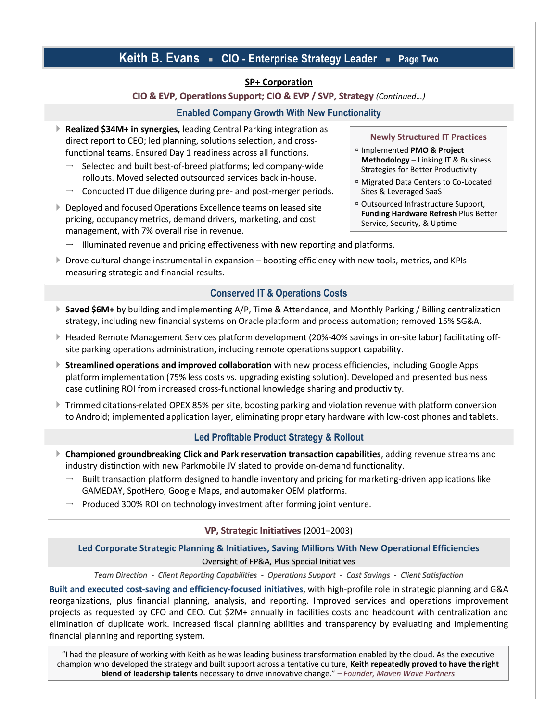# **Keith B. Evans CIO - Enterprise Strategy Leader Page Two**

#### **SP+ Corporation**

#### **CIO & EVP, Operations Support; CIO & EVP / SVP, Strategy** *(Continued…)*

#### **Enabled Company Growth With New Functionality**

- **Realized \$34M+ in synergies,** leading Central Parking integration as direct report to CEO; led planning, solutions selection, and crossfunctional teams. Ensured Day 1 readiness across all functions.
	- $\rightarrow$  Selected and built best-of-breed platforms; led company-wide rollouts. Moved selected outsourced services back in-house.
	- Conducted IT due diligence during pre- and post-merger periods.
- ▶ Deployed and focused Operations Excellence teams on leased site pricing, occupancy metrics, demand drivers, marketing, and cost management, with 7% overall rise in revenue.
	- $\rightarrow$  Illuminated revenue and pricing effectiveness with new reporting and platforms.
- Drove cultural change instrumental in expansion boosting efficiency with new tools, metrics, and KPIs measuring strategic and financial results.

#### **Conserved IT & Operations Costs**

- ▶ Saved \$6M+ by building and implementing A/P, Time & Attendance, and Monthly Parking / Billing centralization strategy, including new financial systems on Oracle platform and process automation; removed 15% SG&A.
- Headed Remote Management Services platform development (20%-40% savings in on-site labor) facilitating offsite parking operations administration, including remote operations support capability.
- **Streamlined operations and improved collaboration** with new process efficiencies, including Google Apps platform implementation (75% less costs vs. upgrading existing solution). Developed and presented business case outlining ROI from increased cross-functional knowledge sharing and productivity.
- Trimmed citations-related OPEX 85% per site, boosting parking and violation revenue with platform conversion to Android; implemented application layer, eliminating proprietary hardware with low-cost phones and tablets.

#### **Led Profitable Product Strategy & Rollout**

- **Championed groundbreaking Click and Park reservation transaction capabilities**, adding revenue streams and industry distinction with new Parkmobile JV slated to provide on-demand functionality.
	- Built transaction platform designed to handle inventory and pricing for marketing-driven applications like GAMEDAY, SpotHero, Google Maps, and automaker OEM platforms.
	- $\rightarrow$  Produced 300% ROI on technology investment after forming joint venture.

#### **VP, Strategic Initiatives** (2001–2003)

#### **Led Corporate Strategic Planning & Initiatives, Saving Millions With New Operational Efficiencies** Oversight of FP&A, Plus Special Initiatives

*Team Direction - Client Reporting Capabilities - Operations Support - Cost Savings - Client Satisfaction*

**Built and executed cost-saving and efficiency-focused initiatives**, with high-profile role in strategic planning and G&A reorganizations, plus financial planning, analysis, and reporting. Improved services and operations improvement projects as requested by CFO and CEO. Cut \$2M+ annually in facilities costs and headcount with centralization and elimination of duplicate work. Increased fiscal planning abilities and transparency by evaluating and implementing financial planning and reporting system.

"I had the pleasure of working with Keith as he was leading business transformation enabled by the cloud. As the executive champion who developed the strategy and built support across a tentative culture, **Keith repeatedly proved to have the right blend of leadership talents** necessary to drive innovative change." *– Founder, Maven Wave Partners*

#### **Newly Structured IT Practices**

- Implemented **PMO & Project Methodology** – Linking IT & Business Strategies for Better Productivity
- Migrated Data Centers to Co-Located Sites & Leveraged SaaS
- Outsourced Infrastructure Support, **Funding Hardware Refresh** Plus Better Service, Security, & Uptime